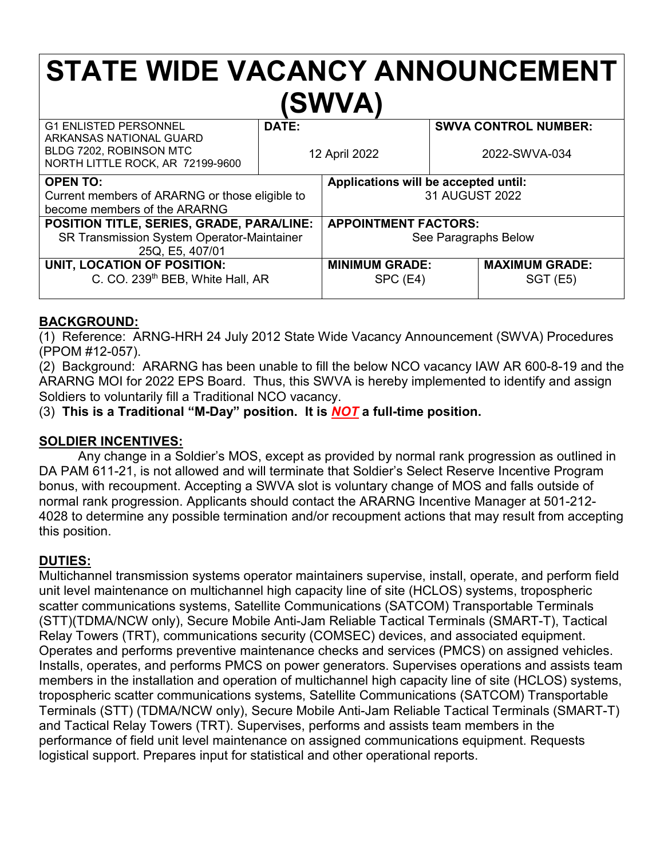# **STATE WIDE VACANCY ANNOUNCEMENT (SWVA)**

| <b>G1 ENLISTED PERSONNEL</b><br>ARKANSAS NATIONAL GUARD<br>BLDG 7202, ROBINSON MTC | DATE:<br>12 April 2022 |                                      | <b>SWVA CONTROL NUMBER:</b><br>2022-SWVA-034 |                       |
|------------------------------------------------------------------------------------|------------------------|--------------------------------------|----------------------------------------------|-----------------------|
| NORTH LITTLE ROCK, AR 72199-9600                                                   |                        |                                      |                                              |                       |
| <b>OPEN TO:</b>                                                                    |                        | Applications will be accepted until: |                                              |                       |
| Current members of ARARNG or those eligible to                                     |                        | 31 AUGUST 2022                       |                                              |                       |
| become members of the ARARNG                                                       |                        |                                      |                                              |                       |
| POSITION TITLE, SERIES, GRADE, PARA/LINE:                                          |                        | <b>APPOINTMENT FACTORS:</b>          |                                              |                       |
| SR Transmission System Operator-Maintainer                                         |                        | See Paragraphs Below                 |                                              |                       |
| 25Q, E5, 407/01                                                                    |                        |                                      |                                              |                       |
| UNIT, LOCATION OF POSITION:                                                        |                        | <b>MINIMUM GRADE:</b>                |                                              | <b>MAXIMUM GRADE:</b> |
| C. CO. 239 <sup>th</sup> BEB, White Hall, AR                                       |                        | SPC (E4)                             |                                              | $SGT$ (E5)            |
|                                                                                    |                        |                                      |                                              |                       |

### **BACKGROUND:**

(1) Reference: ARNG-HRH 24 July 2012 State Wide Vacancy Announcement (SWVA) Procedures (PPOM #12-057).

(2) Background: ARARNG has been unable to fill the below NCO vacancy IAW AR 600-8-19 and the ARARNG MOI for 2022 EPS Board. Thus, this SWVA is hereby implemented to identify and assign Soldiers to voluntarily fill a Traditional NCO vacancy.

(3) **This is a Traditional "M-Day" position. It is** *NOT* **a full-time position.**

# **SOLDIER INCENTIVES:**

Any change in a Soldier's MOS, except as provided by normal rank progression as outlined in DA PAM 611-21, is not allowed and will terminate that Soldier's Select Reserve Incentive Program bonus, with recoupment. Accepting a SWVA slot is voluntary change of MOS and falls outside of normal rank progression. Applicants should contact the ARARNG Incentive Manager at 501-212- 4028 to determine any possible termination and/or recoupment actions that may result from accepting this position.

# **DUTIES:**

Multichannel transmission systems operator maintainers supervise, install, operate, and perform field unit level maintenance on multichannel high capacity line of site (HCLOS) systems, tropospheric scatter communications systems, Satellite Communications (SATCOM) Transportable Terminals (STT)(TDMA/NCW only), Secure Mobile Anti-Jam Reliable Tactical Terminals (SMART-T), Tactical Relay Towers (TRT), communications security (COMSEC) devices, and associated equipment. Operates and performs preventive maintenance checks and services (PMCS) on assigned vehicles. Installs, operates, and performs PMCS on power generators. Supervises operations and assists team members in the installation and operation of multichannel high capacity line of site (HCLOS) systems, tropospheric scatter communications systems, Satellite Communications (SATCOM) Transportable Terminals (STT) (TDMA/NCW only), Secure Mobile Anti-Jam Reliable Tactical Terminals (SMART-T) and Tactical Relay Towers (TRT). Supervises, performs and assists team members in the performance of field unit level maintenance on assigned communications equipment. Requests logistical support. Prepares input for statistical and other operational reports.